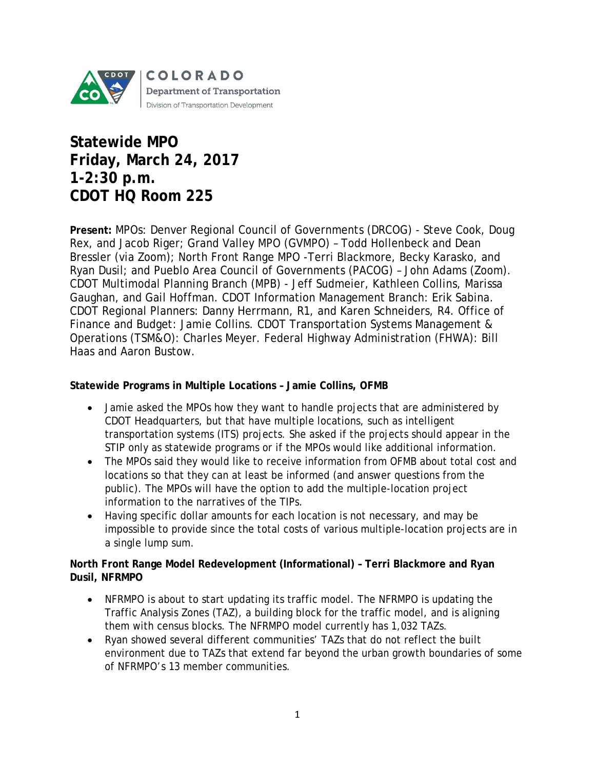

# **Statewide MPO Friday, March 24, 2017 1-2:30 p.m. CDOT HQ Room 225**

**Present:** MPOs: Denver Regional Council of Governments (DRCOG) - Steve Cook, Doug Rex, and Jacob Riger; Grand Valley MPO (GVMPO) – Todd Hollenbeck and Dean Bressler (via Zoom); North Front Range MPO -Terri Blackmore, Becky Karasko, and Ryan Dusil; and Pueblo Area Council of Governments (PACOG) – John Adams (Zoom). CDOT Multimodal Planning Branch (MPB) - Jeff Sudmeier, Kathleen Collins, Marissa Gaughan, and Gail Hoffman. CDOT Information Management Branch: Erik Sabina. CDOT Regional Planners: Danny Herrmann, R1, and Karen Schneiders, R4. Office of Finance and Budget: Jamie Collins. CDOT Transportation Systems Management & Operations (TSM&O): Charles Meyer. Federal Highway Administration (FHWA): Bill Haas and Aaron Bustow.

#### **Statewide Programs in Multiple Locations – Jamie Collins, OFMB**

- Jamie asked the MPOs how they want to handle projects that are administered by CDOT Headquarters, but that have multiple locations, such as intelligent transportation systems (ITS) projects. She asked if the projects should appear in the STIP only as statewide programs or if the MPOs would like additional information.
- The MPOs said they would like to receive information from OFMB about total cost and locations so that they can at least be informed (and answer questions from the public). The MPOs will have the option to add the multiple-location project information to the narratives of the TIPs.
- Having specific dollar amounts for each location is not necessary, and may be impossible to provide since the total costs of various multiple-location projects are in a single lump sum.

## **North Front Range Model Redevelopment (Informational) – Terri Blackmore and Ryan Dusil, NFRMPO**

- NFRMPO is about to start updating its traffic model. The NFRMPO is updating the Traffic Analysis Zones (TAZ), a building block for the traffic model, and is aligning them with census blocks. The NFRMPO model currently has 1,032 TAZs.
- Ryan showed several different communities' TAZs that do not reflect the built environment due to TAZs that extend far beyond the urban growth boundaries of some of NFRMPO's 13 member communities.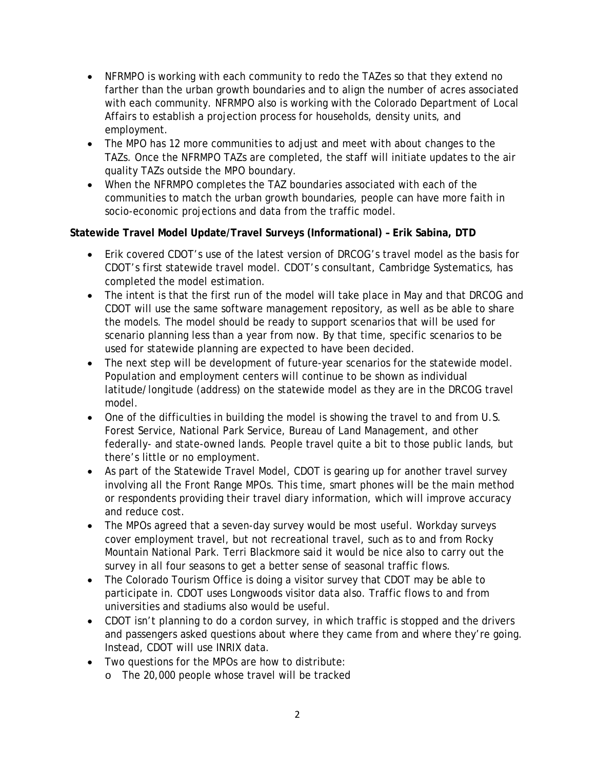- NFRMPO is working with each community to redo the TAZes so that they extend no farther than the urban growth boundaries and to align the number of acres associated with each community. NFRMPO also is working with the Colorado Department of Local Affairs to establish a projection process for households, density units, and employment.
- The MPO has 12 more communities to adjust and meet with about changes to the TAZs. Once the NFRMPO TAZs are completed, the staff will initiate updates to the air quality TAZs outside the MPO boundary.
- When the NFRMPO completes the TAZ boundaries associated with each of the communities to match the urban growth boundaries, people can have more faith in socio-economic projections and data from the traffic model.

## **Statewide Travel Model Update/Travel Surveys (Informational) – Erik Sabina, DTD**

- Erik covered CDOT's use of the latest version of DRCOG's travel model as the basis for CDOT's first statewide travel model. CDOT's consultant, Cambridge Systematics, has completed the model estimation.
- The intent is that the first run of the model will take place in May and that DRCOG and CDOT will use the same software management repository, as well as be able to share the models. The model should be ready to support scenarios that will be used for scenario planning less than a year from now. By that time, specific scenarios to be used for statewide planning are expected to have been decided.
- The next step will be development of future-year scenarios for the statewide model. Population and employment centers will continue to be shown as individual latitude/longitude (address) on the statewide model as they are in the DRCOG travel model.
- One of the difficulties in building the model is showing the travel to and from U.S. Forest Service, National Park Service, Bureau of Land Management, and other federally- and state-owned lands. People travel quite a bit to those public lands, but there's little or no employment.
- As part of the Statewide Travel Model, CDOT is gearing up for another travel survey involving all the Front Range MPOs. This time, smart phones will be the main method or respondents providing their travel diary information, which will improve accuracy and reduce cost.
- The MPOs agreed that a seven-day survey would be most useful. Workday surveys cover employment travel, but not recreational travel, such as to and from Rocky Mountain National Park. Terri Blackmore said it would be nice also to carry out the survey in all four seasons to get a better sense of seasonal traffic flows.
- The Colorado Tourism Office is doing a visitor survey that CDOT may be able to participate in. CDOT uses Longwoods visitor data also. Traffic flows to and from universities and stadiums also would be useful.
- CDOT isn't planning to do a cordon survey, in which traffic is stopped and the drivers and passengers asked questions about where they came from and where they're going. Instead, CDOT will use INRIX data.
- Two questions for the MPOs are how to distribute:
	- o The 20,000 people whose travel will be tracked